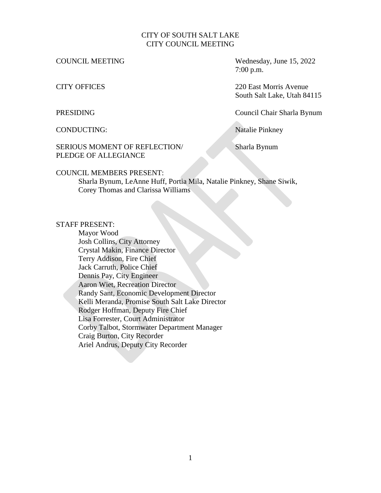## CITY OF SOUTH SALT LAKE CITY COUNCIL MEETING

COUNCIL MEETING Wednesday, June 15, 2022 7:00 p.m.

CITY OFFICES 220 East Morris Avenue South Salt Lake, Utah 84115

PRESIDING Council Chair Sharla Bynum

CONDUCTING: Natalie Pinkney

## SERIOUS MOMENT OF REFLECTION/ Sharla Bynum PLEDGE OF ALLEGIANCE

### COUNCIL MEMBERS PRESENT:

Sharla Bynum, LeAnne Huff, Portia Mila, Natalie Pinkney, Shane Siwik, Corey Thomas and Clarissa Williams

### STAFF PRESENT:

Mayor Wood Josh Collins, City Attorney Crystal Makin, Finance Director Terry Addison, Fire Chief Jack Carruth, Police Chief Dennis Pay, City Engineer Aaron Wiet, Recreation Director Randy Sant, Economic Development Director Kelli Meranda, Promise South Salt Lake Director Rodger Hoffman, Deputy Fire Chief Lisa Forrester, Court Administrator Corby Talbot, Stormwater Department Manager Craig Burton, City Recorder Ariel Andrus, Deputy City Recorder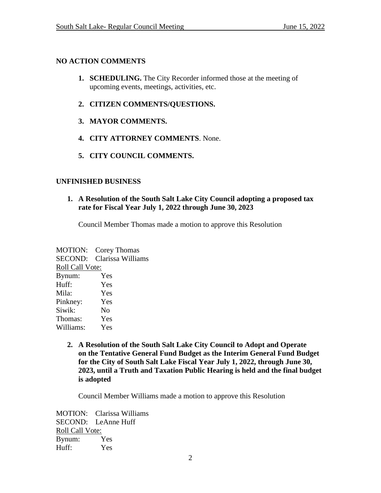# **NO ACTION COMMENTS**

- **1. SCHEDULING.** The City Recorder informed those at the meeting of upcoming events, meetings, activities, etc.
- **2. CITIZEN COMMENTS/QUESTIONS.**
- **3. MAYOR COMMENTS.**
- **4. CITY ATTORNEY COMMENTS**. None.
- **5. CITY COUNCIL COMMENTS.**

# **UNFINISHED BUSINESS**

## **1. A Resolution of the South Salt Lake City Council adopting a proposed tax rate for Fiscal Year July 1, 2022 through June 30, 2023**

Council Member Thomas made a motion to approve this Resolution

MOTION: Corey Thomas SECOND: Clarissa Williams Roll Call Vote: Bynum: Yes Huff: Yes Mila: Yes Pinkney: Yes Siwik: No Thomas: Yes Williams: Yes

> **2. A Resolution of the South Salt Lake City Council to Adopt and Operate on the Tentative General Fund Budget as the Interim General Fund Budget for the City of South Salt Lake Fiscal Year July 1, 2022, through June 30, 2023, until a Truth and Taxation Public Hearing is held and the final budget is adopted**

Council Member Williams made a motion to approve this Resolution

MOTION: Clarissa Williams SECOND: LeAnne Huff Roll Call Vote: Bynum: Yes Huff: Yes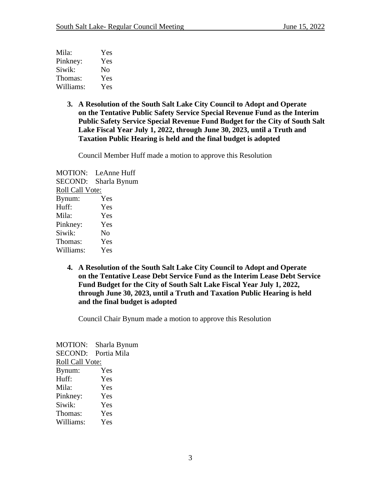| Mila:     | Yes |
|-----------|-----|
| Pinkney:  | Yes |
| Siwik:    | No  |
| Thomas:   | Yes |
| Williams: | Yes |

**3. A Resolution of the South Salt Lake City Council to Adopt and Operate on the Tentative Public Safety Service Special Revenue Fund as the Interim Public Safety Service Special Revenue Fund Budget for the City of South Salt Lake Fiscal Year July 1, 2022, through June 30, 2023, until a Truth and Taxation Public Hearing is held and the final budget is adopted**

Council Member Huff made a motion to approve this Resolution

MOTION: LeAnne Huff SECOND: Sharla Bynum Roll Call Vote: Bynum: Yes Huff: Yes Mila: Yes Pinkney: Yes Siwik: No Thomas: Yes Williams: Yes

> **4. A Resolution of the South Salt Lake City Council to Adopt and Operate on the Tentative Lease Debt Service Fund as the Interim Lease Debt Service Fund Budget for the City of South Salt Lake Fiscal Year July 1, 2022, through June 30, 2023, until a Truth and Taxation Public Hearing is held and the final budget is adopted**

Council Chair Bynum made a motion to approve this Resolution

MOTION: Sharla Bynum SECOND: Portia Mila Roll Call Vote: Bynum: Yes Huff: Yes Mila: Yes Pinkney: Yes Siwik: Yes Thomas: Yes Williams: Yes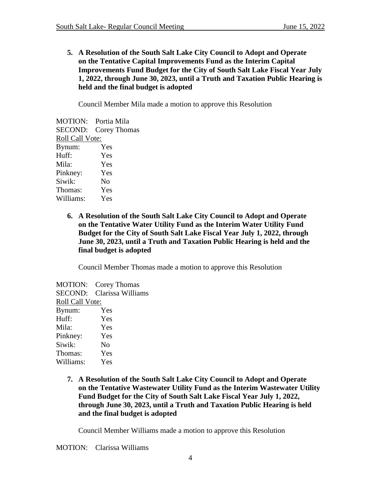**5. A Resolution of the South Salt Lake City Council to Adopt and Operate on the Tentative Capital Improvements Fund as the Interim Capital Improvements Fund Budget for the City of South Salt Lake Fiscal Year July 1, 2022, through June 30, 2023, until a Truth and Taxation Public Hearing is held and the final budget is adopted**

Council Member Mila made a motion to approve this Resolution

|                        | MOTION: Portia Mila |
|------------------------|---------------------|
| SECOND:                | Corey Thomas        |
| <b>Roll Call Vote:</b> |                     |
| Bynum:                 | Yes                 |
| Huff:                  | Yes                 |
| Mila:                  | Yes                 |
| Pinkney:               | Yes                 |
| Siwik:                 | No                  |
| Thomas:                | Yes                 |
| Williams:              | Yes                 |
|                        |                     |

**6. A Resolution of the South Salt Lake City Council to Adopt and Operate on the Tentative Water Utility Fund as the Interim Water Utility Fund Budget for the City of South Salt Lake Fiscal Year July 1, 2022, through June 30, 2023, until a Truth and Taxation Public Hearing is held and the final budget is adopted**

Council Member Thomas made a motion to approve this Resolution

MOTION: Corey Thomas SECOND: Clarissa Williams Roll Call Vote: Bynum: Yes Huff: Yes Mila: Yes Pinkney: Yes Siwik: No Thomas: Yes Williams: Yes

> **7. A Resolution of the South Salt Lake City Council to Adopt and Operate on the Tentative Wastewater Utility Fund as the Interim Wastewater Utility Fund Budget for the City of South Salt Lake Fiscal Year July 1, 2022, through June 30, 2023, until a Truth and Taxation Public Hearing is held and the final budget is adopted**

Council Member Williams made a motion to approve this Resolution

MOTION: Clarissa Williams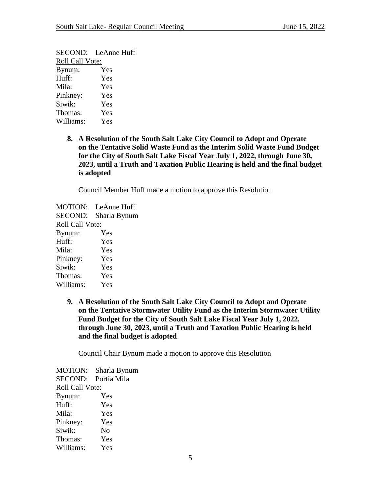SECOND: LeAnne Huff Roll Call Vote: Bynum: Yes Huff: Yes Mila: Yes Pinkney: Yes Siwik: Yes Thomas: Yes Williams: Yes

> **8. A Resolution of the South Salt Lake City Council to Adopt and Operate on the Tentative Solid Waste Fund as the Interim Solid Waste Fund Budget for the City of South Salt Lake Fiscal Year July 1, 2022, through June 30, 2023, until a Truth and Taxation Public Hearing is held and the final budget is adopted**

Council Member Huff made a motion to approve this Resolution

MOTION: LeAnne Huff SECOND: Sharla Bynum Roll Call Vote: Bynum: Yes Huff: Yes Mila: Yes Pinkney: Yes Siwik: Yes Thomas: Yes Williams: Yes

> **9. A Resolution of the South Salt Lake City Council to Adopt and Operate on the Tentative Stormwater Utility Fund as the Interim Stormwater Utility Fund Budget for the City of South Salt Lake Fiscal Year July 1, 2022, through June 30, 2023, until a Truth and Taxation Public Hearing is held and the final budget is adopted**

Council Chair Bynum made a motion to approve this Resolution

MOTION: Sharla Bynum SECOND: Portia Mila Roll Call Vote: Bynum: Yes Huff: Yes Mila: Yes Pinkney: Yes Siwik: No Thomas: Yes Williams: Yes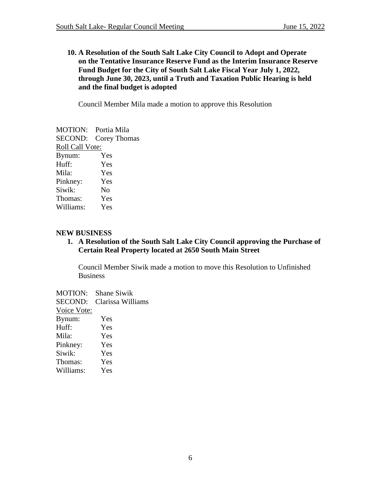**10. A Resolution of the South Salt Lake City Council to Adopt and Operate on the Tentative Insurance Reserve Fund as the Interim Insurance Reserve Fund Budget for the City of South Salt Lake Fiscal Year July 1, 2022, through June 30, 2023, until a Truth and Taxation Public Hearing is held and the final budget is adopted**

Council Member Mila made a motion to approve this Resolution

|                 | <b>MOTION:</b> Portia Mila |
|-----------------|----------------------------|
| SECOND:         | Corey Thomas               |
| Roll Call Vote: |                            |
| Bynum:          | Yes                        |
| Huff:           | Yes                        |
| Mila:           | Yes                        |
| Pinkney:        | Yes                        |
| Siwik:          | No                         |
| Thomas:         | Yes                        |
| Williams:       | Yes                        |

## **NEW BUSINESS**

**1. A Resolution of the South Salt Lake City Council approving the Purchase of Certain Real Property located at 2650 South Main Street**

Council Member Siwik made a motion to move this Resolution to Unfinished **Business** 

MOTION: Shane Siwik SECOND: Clarissa Williams Voice Vote: Bynum: Yes Huff: Yes Mila: Yes Pinkney: Yes Siwik: Yes Thomas: Yes Williams: Yes